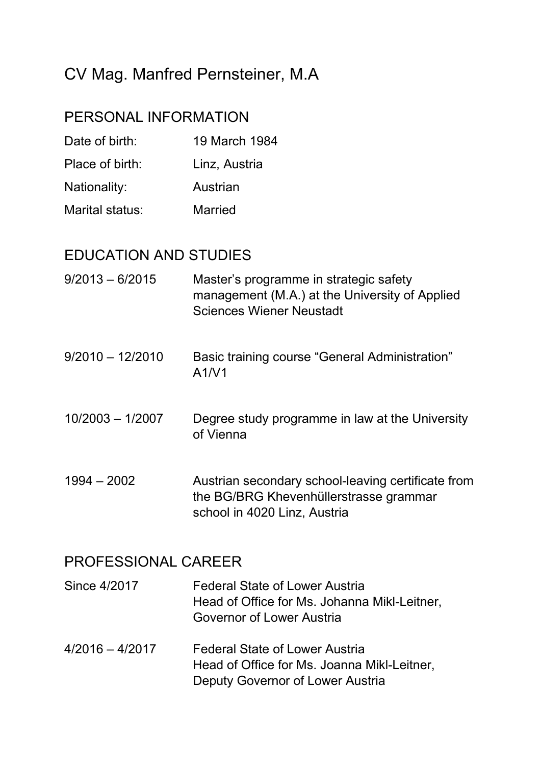## CV Mag. Manfred Pernsteiner, M.A

## PERSONAL INFORMATION

- Date of birth: 19 March 1984
- Place of birth: Linz, Austria
- Nationality: Austrian
- Marital status: Married

## EDUCATION AND STUDIES

- 9/2013 6/2015 Master's programme in strategic safety management (M.A.) at the University of Applied Sciences Wiener Neustadt
- 9/2010 12/2010 Basic training course "General Administration" A1/V1
- 10/2003 1/2007 Degree study programme in law at the University of Vienna
- 1994 2002 Austrian secondary school-leaving certificate from the BG/BRG Khevenhüllerstrasse grammar school in 4020 Linz, Austria

## PROFESSIONAL CAREER

- Since 4/2017 Federal State of Lower Austria Head of Office for Ms. Johanna Mikl-Leitner, Governor of Lower Austria
- 4/2016 4/2017 Federal State of Lower Austria Head of Office for Ms. Joanna Mikl-Leitner, Deputy Governor of Lower Austria